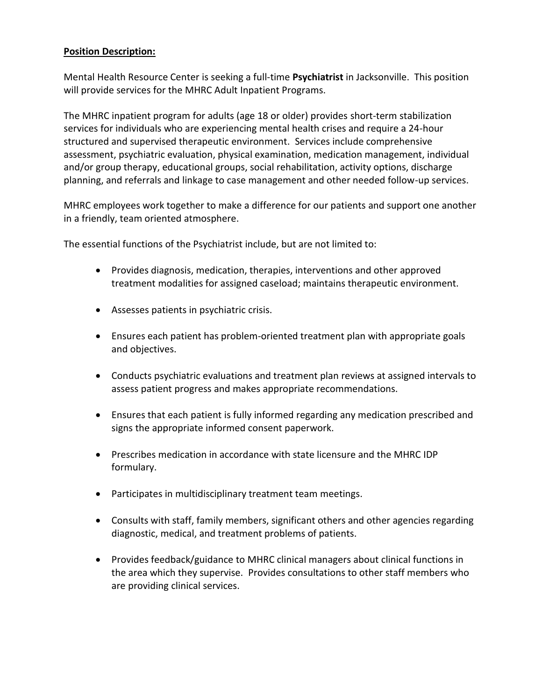## **Position Description:**

Mental Health Resource Center is seeking a full-time **Psychiatrist** in Jacksonville. This position will provide services for the MHRC Adult Inpatient Programs.

The MHRC inpatient program for adults (age 18 or older) provides short-term stabilization services for individuals who are experiencing mental health crises and require a 24-hour structured and supervised therapeutic environment. Services include comprehensive assessment, psychiatric evaluation, physical examination, medication management, individual and/or group therapy, educational groups, social rehabilitation, activity options, discharge planning, and referrals and linkage to case management and other needed follow-up services.

MHRC employees work together to make a difference for our patients and support one another in a friendly, team oriented atmosphere.

The essential functions of the Psychiatrist include, but are not limited to:

- Provides diagnosis, medication, therapies, interventions and other approved treatment modalities for assigned caseload; maintains therapeutic environment.
- Assesses patients in psychiatric crisis.
- Ensures each patient has problem-oriented treatment plan with appropriate goals and objectives.
- Conducts psychiatric evaluations and treatment plan reviews at assigned intervals to assess patient progress and makes appropriate recommendations.
- Ensures that each patient is fully informed regarding any medication prescribed and signs the appropriate informed consent paperwork.
- Prescribes medication in accordance with state licensure and the MHRC IDP formulary.
- Participates in multidisciplinary treatment team meetings.
- Consults with staff, family members, significant others and other agencies regarding diagnostic, medical, and treatment problems of patients.
- Provides feedback/guidance to MHRC clinical managers about clinical functions in the area which they supervise. Provides consultations to other staff members who are providing clinical services.